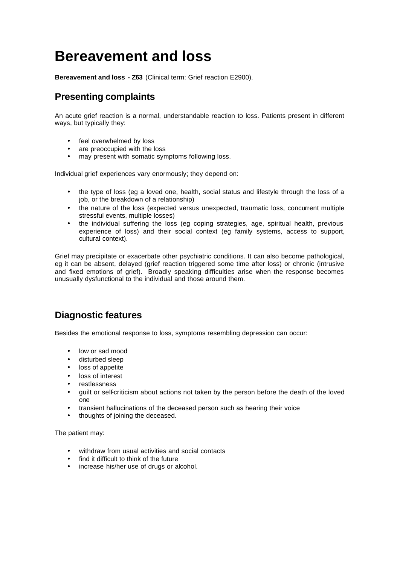# **Bereavement and loss**

**Bereavement and loss - Z63** (Clinical term: Grief reaction E2900).

# **Presenting complaints**

An acute grief reaction is a normal, understandable reaction to loss. Patients present in different ways, but typically they:

- feel overwhelmed by loss
- are preoccupied with the loss
- may present with somatic symptoms following loss.

Individual grief experiences vary enormously; they depend on:

- the type of loss (eg a loved one, health, social status and lifestyle through the loss of a job, or the breakdown of a relationship)
- the nature of the loss (expected versus unexpected, traumatic loss, concurrent multiple stressful events, multiple losses)
- the individual suffering the loss (eg coping strategies, age, spiritual health, previous experience of loss) and their social context (eg family systems, access to support, cultural context).

Grief may precipitate or exacerbate other psychiatric conditions. It can also become pathological, eg it can be absent, delayed (grief reaction triggered some time after loss) or chronic (intrusive and fixed emotions of grief). Broadly speaking difficulties arise when the response becomes unusually dysfunctional to the individual and those around them.

# **Diagnostic features**

Besides the emotional response to loss, symptoms resembling depression can occur:

- low or sad mood
- disturbed sleep
- loss of appetite
- loss of interest
- **restlessness**
- guilt or self-criticism about actions not taken by the person before the death of the loved one
- transient hallucinations of the deceased person such as hearing their voice
- thoughts of joining the deceased.

The patient may:

- withdraw from usual activities and social contacts
- find it difficult to think of the future
- increase his/her use of drugs or alcohol.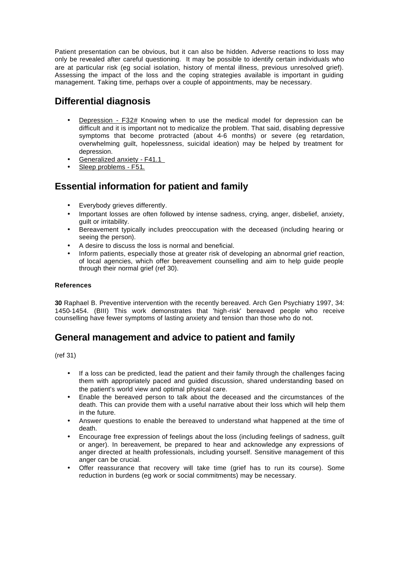Patient presentation can be obvious, but it can also be hidden. Adverse reactions to loss may only be revealed after careful questioning. It may be possible to identify certain individuals who are at particular risk (eg social isolation, history of mental illness, previous unresolved grief). Assessing the impact of the loss and the coping strategies available is important in guiding management. Taking time, perhaps over a couple of appointments, may be necessary.

### **Differential diagnosis**

- **Depression F32# Knowing when to use the medical model for depression can be** difficult and it is important not to medicalize the problem. That said, disabling depressive symptoms that become protracted (about 4-6 months) or severe (eg retardation, overwhelming guilt, hopelessness, suicidal ideation) may be helped by treatment for depression.
- Generalized anxiety F41.1
- Sleep problems F51.

### **Essential information for patient and family**

- Everybody grieves differently.
- Important losses are often followed by intense sadness, crying, anger, disbelief, anxiety, guilt or irritability.
- Bereavement typically includes preoccupation with the deceased (including hearing or seeing the person).
- A desire to discuss the loss is normal and beneficial.
- Inform patients, especially those at greater risk of developing an abnormal grief reaction, of local agencies, which offer bereavement counselling and aim to help guide people through their normal grief (ref 30).

#### **References**

**30** Raphael B. Preventive intervention with the recently bereaved. Arch Gen Psychiatry 1997, 34: 1450-1454. (BIII) This work demonstrates that 'high-risk' bereaved people who receive counselling have fewer symptoms of lasting anxiety and tension than those who do not.

# **General management and advice to patient and family**

(ref 31)

- If a loss can be predicted, lead the patient and their family through the challenges facing them with appropriately paced and guided discussion, shared understanding based on the patient's world view and optimal physical care.
- Enable the bereaved person to talk about the deceased and the circumstances of the death. This can provide them with a useful narrative about their loss which will help them in the future.
- Answer questions to enable the bereaved to understand what happened at the time of death.
- Encourage free expression of feelings about the loss (including feelings of sadness, guilt or anger). In bereavement, be prepared to hear and acknowledge any expressions of anger directed at health professionals, including yourself. Sensitive management of this anger can be crucial.
- Offer reassurance that recovery will take time (grief has to run its course). Some reduction in burdens (eg work or social commitments) may be necessary.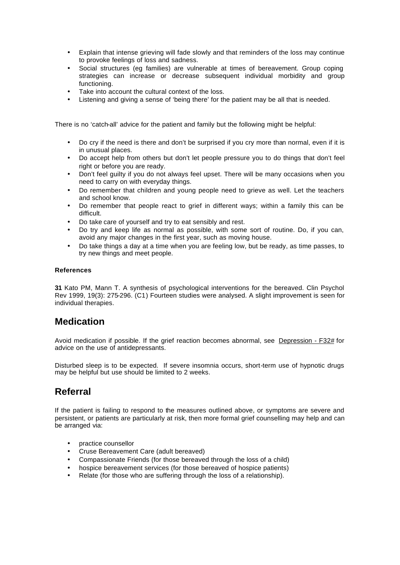- Explain that intense grieving will fade slowly and that reminders of the loss may continue to provoke feelings of loss and sadness.
- Social structures (eg families) are vulnerable at times of bereavement. Group coping strategies can increase or decrease subsequent individual morbidity and group functioning.
- Take into account the cultural context of the loss.
- Listening and giving a sense of 'being there' for the patient may be all that is needed.

There is no 'catch-all' advice for the patient and family but the following might be helpful:

- Do cry if the need is there and don't be surprised if you cry more than normal, even if it is in unusual places.
- Do accept help from others but don't let people pressure you to do things that don't feel right or before you are ready.
- Don't feel guilty if you do not always feel upset. There will be many occasions when you need to carry on with everyday things.
- Do remember that children and young people need to grieve as well. Let the teachers and school know.
- Do remember that people react to grief in different ways; within a family this can be difficult.
- Do take care of yourself and try to eat sensibly and rest.
- Do try and keep life as normal as possible, with some sort of routine. Do, if you can, avoid any major changes in the first year, such as moving house.
- Do take things a day at a time when you are feeling low, but be ready, as time passes, to try new things and meet people.

#### **References**

**31** Kato PM, Mann T. A synthesis of psychological interventions for the bereaved. Clin Psychol Rev 1999, 19(3): 275-296. (C1) Fourteen studies were analysed. A slight improvement is seen for individual therapies.

### **Medication**

Avoid medication if possible. If the grief reaction becomes abnormal, see Depression - F32# for advice on the use of antidepressants.

Disturbed sleep is to be expected. If severe insomnia occurs, short-term use of hypnotic drugs may be helpful but use should be limited to 2 weeks.

# **Referral**

If the patient is failing to respond to the measures outlined above, or symptoms are severe and persistent, or patients are particularly at risk, then more formal grief counselling may help and can be arranged via:

- practice counsellor
- Cruse Bereavement Care (adult bereaved)
- Compassionate Friends (for those bereaved through the loss of a child)
- hospice bereavement services (for those bereaved of hospice patients)
- Relate (for those who are suffering through the loss of a relationship).